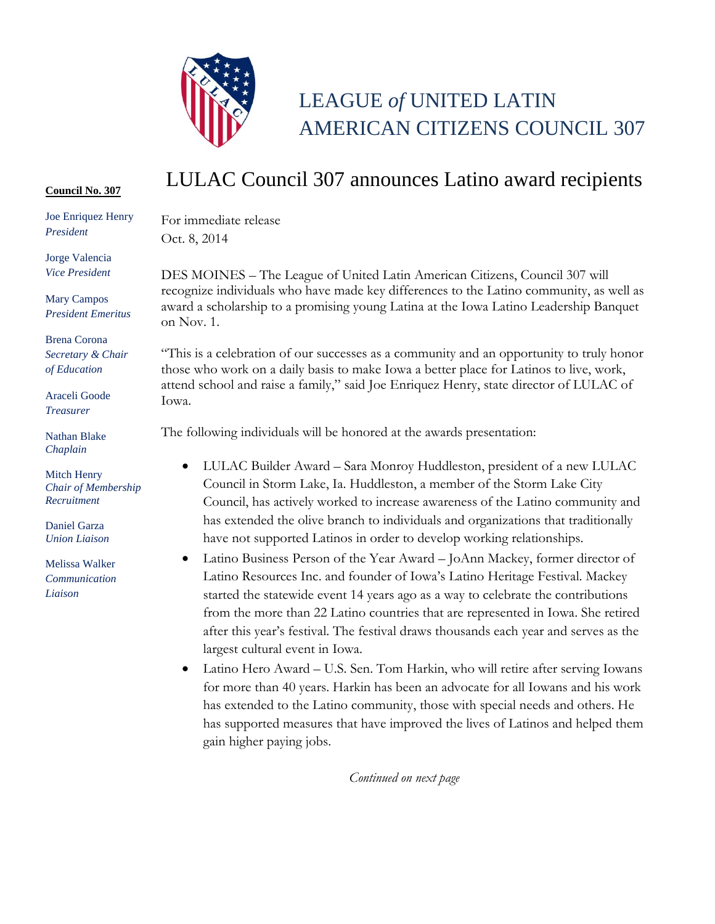

## LEAGUE *of* UNITED LATIN AMERICAN CITIZENS COUNCIL 307

## **Council No. 307**

Joe Enriquez Henry *President*

Jorge Valencia *Vice President*

Mary Campos *President Emeritus*

Brena Corona *Secretary & Chair of Education*

Araceli Goode *Treasurer*

Nathan Blake *Chaplain*

Mitch Henry *Chair of Membership Recruitment*

Daniel Garza *Union Liaison* 

Melissa Walker *Communication Liaison*

## LULAC Council 307 announces Latino award recipients

For immediate release Oct. 8, 2014

DES MOINES – The League of United Latin American Citizens, Council 307 will recognize individuals who have made key differences to the Latino community, as well as award a scholarship to a promising young Latina at the Iowa Latino Leadership Banquet on Nov. 1.

"This is a celebration of our successes as a community and an opportunity to truly honor those who work on a daily basis to make Iowa a better place for Latinos to live, work, attend school and raise a family," said Joe Enriquez Henry, state director of LULAC of Iowa.

The following individuals will be honored at the awards presentation:

- LULAC Builder Award Sara Monroy Huddleston, president of a new LULAC Council in Storm Lake, Ia. Huddleston, a member of the Storm Lake City Council, has actively worked to increase awareness of the Latino community and has extended the olive branch to individuals and organizations that traditionally have not supported Latinos in order to develop working relationships.
- Latino Business Person of the Year Award JoAnn Mackey, former director of Latino Resources Inc. and founder of Iowa's Latino Heritage Festival. Mackey started the statewide event 14 years ago as a way to celebrate the contributions from the more than 22 Latino countries that are represented in Iowa. She retired after this year's festival. The festival draws thousands each year and serves as the largest cultural event in Iowa.
- Latino Hero Award U.S. Sen. Tom Harkin, who will retire after serving Iowans for more than 40 years. Harkin has been an advocate for all Iowans and his work has extended to the Latino community, those with special needs and others. He has supported measures that have improved the lives of Latinos and helped them gain higher paying jobs.

*Continued on next page*